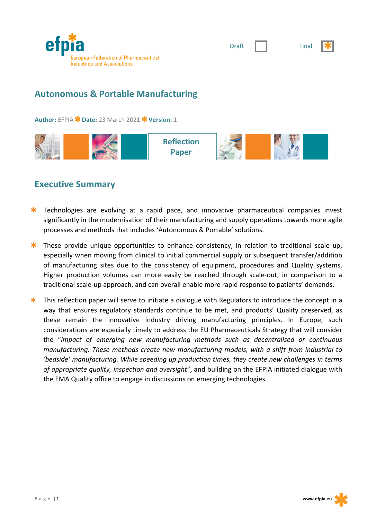

|--|--|



# **Autonomous & Portable Manufacturing**

**Author: EFPIA \* Date: 23 March 2021 \* Version: 1** 



### **Executive Summary**

- $*$  Technologies are evolving at a rapid pace, and innovative pharmaceutical companies invest significantly in the modernisation of their manufacturing and supply operations towards more agile processes and methods that includes 'Autonomous & Portable' solutions.
- $*$  These provide unique opportunities to enhance consistency, in relation to traditional scale up, especially when moving from clinical to initial commercial supply or subsequent transfer/addition of manufacturing sites due to the consistency of equipment, procedures and Quality systems. Higher production volumes can more easily be reached through scale-out, in comparison to a traditional scale-up approach, and can overall enable more rapid response to patients' demands.
- $\star$  This reflection paper will serve to initiate a dialogue with Regulators to introduce the concept in a way that ensures regulatory standards continue to be met, and products' Quality preserved, as these remain the innovative industry driving manufacturing principles. In Europe, such considerations are especially timely to address the EU Pharmaceuticals Strategy that will consider the "*impact of emerging new manufacturing methods such as decentralised or continuous manufacturing. These methods create new manufacturing models, with a shift from industrial to 'bedside' manufacturing. While speeding up production times, they create new challenges in terms of appropriate quality, inspection and oversight*", and building on the EFPIA initiated dialogue with the EMA Quality office to engage in discussions on emerging technologies.

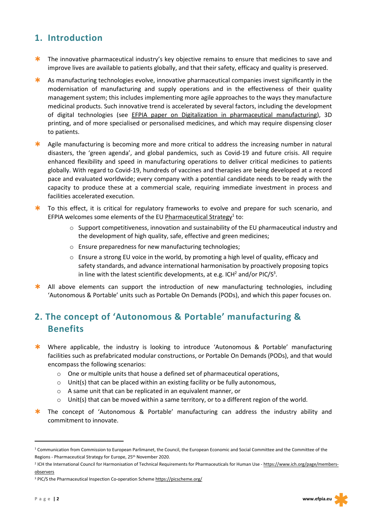# **1. Introduction**

- $*$  The innovative pharmaceutical industry's key objective remains to ensure that medicines to save and improve lives are available to patients globally, and that their safety, efficacy and quality is preserved.
- $\star$  As manufacturing technologies evolve, innovative pharmaceutical companies invest significantly in the modernisation of manufacturing and supply operations and in the effectiveness of their quality management system; this includes implementing more agile approaches to the ways they manufacture medicinal products. Such innovative trend is accelerated by several factors, including the development of digital technologies (see EFPIA paper on Digitalization in pharmaceutical manufacturing), 3D printing, and of more specialised or personalised medicines, and which may require dispensing closer to patients.
- \* Agile manufacturing is becoming more and more critical to address the increasing number in natural disasters, the 'green agenda', and global pandemics, such as Covid-19 and future crisis. All require enhanced flexibility and speed in manufacturing operations to deliver critical medicines to patients globally. With regard to Covid-19, hundreds of vaccines and therapies are being developed at a record pace and evaluated worldwide; every company with a potential candidate needs to be ready with the capacity to produce these at a commercial scale, requiring immediate investment in process and facilities accelerated execution.
- **\*** To this effect, it is critical for regulatory frameworks to evolve and prepare for such scenario, and EFPIA welcomes some elements of the EU Pharmaceutical Strategy<sup>1</sup> to:
	- $\circ$  Support competitiveness, innovation and sustainability of the EU pharmaceutical industry and the development of high quality, safe, effective and green medicines;
	- $\circ$  Ensure preparedness for new manufacturing technologies;
	- $\circ$  Ensure a strong EU voice in the world, by promoting a high level of quality, efficacy and safety standards, and advance international harmonisation by proactively proposing topics in line with the latest scientific developments, at e.g. ICH<sup>2</sup> and/or PIC/S<sup>3</sup>.
- $\star$  All above elements can support the introduction of new manufacturing technologies, including 'Autonomous & Portable' units such as Portable On Demands (PODs), and which this paper focuses on.

# **2. The concept of 'Autonomous & Portable' manufacturing & Benefits**

- **\*** Where applicable, the industry is looking to introduce 'Autonomous & Portable' manufacturing facilities such as prefabricated modular constructions, or Portable On Demands (PODs), and that would encompass the following scenarios:
	- o One or multiple units that house a defined set of pharmaceutical operations,
	- $\circ$  Unit(s) that can be placed within an existing facility or be fully autonomous,
	- o A same unit that can be replicated in an equivalent manner, or
	- $\circ$  Unit(s) that can be moved within a same territory, or to a different region of the world.
- \* The concept of 'Autonomous & Portable' manufacturing can address the industry ability and commitment to innovate.

 $\overline{a}$ 

<sup>&</sup>lt;sup>1</sup> Communication from Commission to European Parlimanet, the Council, the European Economic and Social Committee and the Committee of the Regions - Pharmaceutical Strategy for Europe, 25th November 2020.

<sup>&</sup>lt;sup>2</sup> ICH the International Council for Harmonisation of Technical Requirements for Pharmaceuticals for Human Use - https://www.ich.org/page/membersobservers

<sup>3</sup> PIC/S the Pharmaceutical Inspection Co-operation Scheme https://picscheme.org/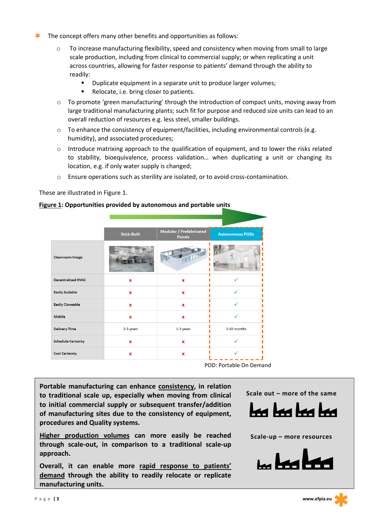- $\star$  The concept offers many other benefits and opportunities as follows:
	- $\circ$  To increase manufacturing flexibility, speed and consistency when moving from small to large scale production, including from clinical to commercial supply; or when replicating a unit across countries, allowing for faster response to patients' demand through the ability to readily:
		- § Duplicate equipment in a separate unit to produce larger volumes;
		- Relocate, i.e. bring closer to patients.
	- $\circ$  To promote 'green manufacturing' through the introduction of compact units, moving away from large traditional manufacturing plants; such fit for purpose and reduced size units can lead to an overall reduction of resources e.g. less steel, smaller buildings.
	- o To enhance the consistency of equipment/facilities, including environmental controls (e.g. humidity), and associated procedures;
	- o Introduce matrixing approach to the qualification of equipment, and to lower the risks related to stability, bioequivalence, process validation… when duplicating a unit or changing its location, e.g. if only water supply is changed;
	- o Ensure operations such as sterility are isolated, or to avoid cross-contamination.

These are illustrated in Figure 1.

#### **Figure 1: Opportunities provided by autonomous and portable units**

|                           | <b>Stick-Built</b> | Modular / Prefabricated<br><b>Panels</b> | <b>Autonomous PODs</b> |
|---------------------------|--------------------|------------------------------------------|------------------------|
| <b>Cleanroom Image</b>    |                    | TILLA                                    |                        |
| <b>Decentralized HVAC</b> | x                  | X                                        |                        |
| <b>Easily Scalable</b>    | X                  | $\mathbf{x}$                             |                        |
| <b>Easily Cloneable</b>   | x                  | X                                        |                        |
| <b>Mobile</b>             | $\mathbf{x}$       | $\mathbf{x}$                             |                        |
| <b>Delivery Time</b>      | 2-3 years          | 1-3 years                                | 3-10 months            |
| <b>Schedule Certainty</b> | X                  | $\mathbf{x}$                             |                        |
| <b>Cost Certainty</b>     | x                  | X                                        |                        |

POD: Portable On Demand

**Portable manufacturing can enhance consistency, in relation to traditional scale up, especially when moving from clinical to initial commercial supply or subsequent transfer/addition of manufacturing sites due to the consistency of equipment, procedures and Quality systems.**

**Higher production volumes can more easily be reached through scale-out, in comparison to a traditional scale-up approach.**

**Overall, it can enable more rapid response to patients' demand through the ability to readily relocate or replicate manufacturing units.**



**Scale-up – more resources**

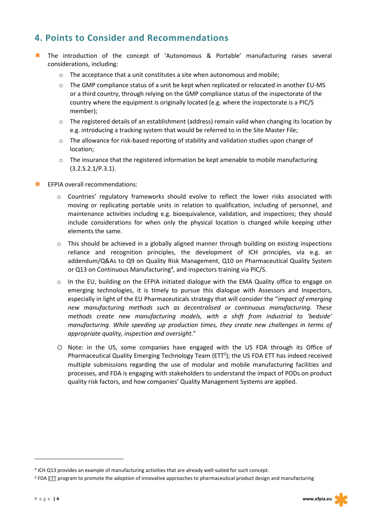# **4. Points to Consider and Recommendations**

- \* The introduction of the concept of 'Autonomous & Portable' manufacturing raises several considerations, including:
	- o The acceptance that a unit constitutes a site when autonomous and mobile;
	- $\circ$  The GMP compliance status of a unit be kept when replicated or relocated in another EU-MS or a third country, through relying on the GMP compliance status of the inspectorate of the country where the equipment is originally located (e.g. where the inspectorate is a PIC/S member);
	- o The registered details of an establishment (address) remain valid when changing its location by e.g. introducing a tracking system that would be referred to in the Site Master File;
	- o The allowance for risk-based reporting of stability and validation studies upon change of location;
	- $\circ$  The insurance that the registered information be kept amenable to mobile manufacturing (3.2.S.2.1/P.3.1).
- $*$  EFPIA overall recommendations:
	- o Countries' regulatory frameworks should evolve to reflect the lower risks associated with moving or replicating portable units in relation to qualification, including of personnel, and maintenance activities including e.g. bioequivalence, validation, and inspections; they should include considerations for when only the physical location is changed while keeping other elements the same.
	- $\circ$  This should be achieved in a globally aligned manner through building on existing inspections reliance and recognition principles, the development of ICH principles, via e.g. an addendum/Q&As to Q9 on Quality Risk Management, Q10 on Pharmaceutical Quality System or Q13 on Continuous Manufacturing<sup>4</sup>, and inspectors training via PIC/S.
	- $\circ$  In the EU, building on the EFPIA initiated dialogue with the EMA Quality office to engage on emerging technologies, it is timely to pursue this dialogue with Assessors and Inspectors, especially in light of the EU Pharmaceuticals strategy that will consider the "*impact of emerging new manufacturing methods such as decentralised or continuous manufacturing. These methods create new manufacturing models, with a shift from industrial to 'bedside' manufacturing. While speeding up production times, they create new challenges in terms of appropriate quality, inspection and oversight*."
	- o Note: in the US, some companies have engaged with the US FDA through its Office of Pharmaceutical Quality Emerging Technology Team (ETT<sup>5</sup>); the US FDA ETT has indeed received multiple submissions regarding the use of modular and mobile manufacturing facilities and processes, and FDA is engaging with stakeholders to understand the impact of PODs on product quality risk factors, and how companies' Quality Management Systems are applied.

l

<sup>4</sup> ICH Q13 provides an example of manufacturing activities that are already well-suited for such concept.

<sup>&</sup>lt;sup>5</sup> FDA ETT program to promote the adoption of innovative approaches to pharmaceutical product design and manufacturing